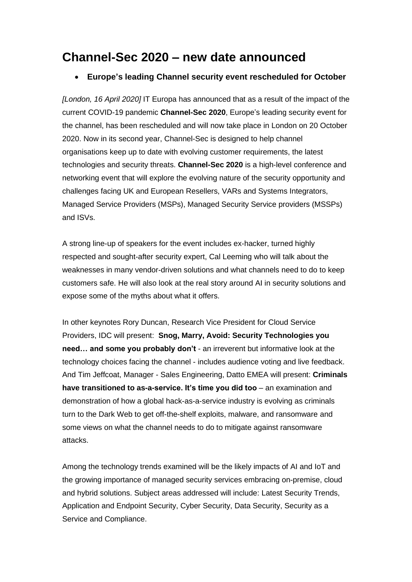## **Channel-Sec 2020 – new date announced**

## • **Europe's leading Channel security event rescheduled for October**

*[London, 16 April 2020]* IT Europa has announced that as a result of the impact of the current COVID-19 pandemic **Channel-Sec 2020**, Europe's leading security event for the channel, has been rescheduled and will now take place in London on 20 October 2020. Now in its second year, Channel-Sec is designed to help channel organisations keep up to date with evolving customer requirements, the latest technologies and security threats. **Channel-Sec 2020** is a high-level conference and networking event that will explore the evolving nature of the security opportunity and challenges facing UK and European Resellers, VARs and Systems Integrators, Managed Service Providers (MSPs), Managed Security Service providers (MSSPs) and ISVs.

A strong line-up of speakers for the event includes ex-hacker, turned highly respected and sought-after security expert, Cal Leeming who will talk about the weaknesses in many vendor-driven solutions and what channels need to do to keep customers safe. He will also look at the real story around AI in security solutions and expose some of the myths about what it offers.

In other keynotes Rory Duncan, Research Vice President for Cloud Service Providers, IDC will present: **Snog, Marry, Avoid: Security Technologies you need… and some you probably don't** - an irreverent but informative look at the technology choices facing the channel - includes audience voting and live feedback. And Tim Jeffcoat, Manager - Sales Engineering, Datto EMEA will present: **Criminals have transitioned to as-a-service. It's time you did too** – an examination and demonstration of how a global hack-as-a-service industry is evolving as criminals turn to the Dark Web to get off-the-shelf exploits, malware, and ransomware and some views on what the channel needs to do to mitigate against ransomware attacks.

Among the technology trends examined will be the likely impacts of AI and IoT and the growing importance of managed security services embracing on-premise, cloud and hybrid solutions. Subject areas addressed will include: Latest Security Trends, Application and Endpoint Security, Cyber Security, Data Security, Security as a Service and Compliance.